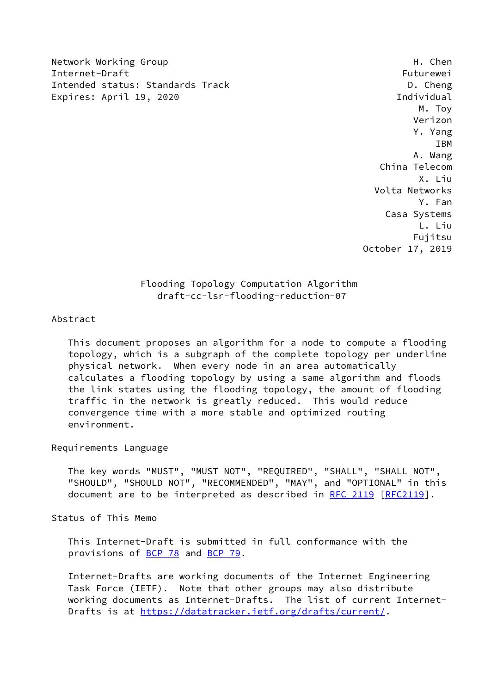Network Working Group **H. Chender Accompany** H. Chender Accompany H. Chender Accompany H. Chender Internet-Draft Futurewei Intended status: Standards Track D. Cheng Expires: April 19, 2020 **Individual** 

 M. Toy Verizon Y. Yang IBM A. Wang China Telecom X. Liu Volta Networks Y. Fan Casa Systems L. Liu Fujitsu October 17, 2019

# Flooding Topology Computation Algorithm draft-cc-lsr-flooding-reduction-07

### Abstract

 This document proposes an algorithm for a node to compute a flooding topology, which is a subgraph of the complete topology per underline physical network. When every node in an area automatically calculates a flooding topology by using a same algorithm and floods the link states using the flooding topology, the amount of flooding traffic in the network is greatly reduced. This would reduce convergence time with a more stable and optimized routing environment.

### Requirements Language

 The key words "MUST", "MUST NOT", "REQUIRED", "SHALL", "SHALL NOT", "SHOULD", "SHOULD NOT", "RECOMMENDED", "MAY", and "OPTIONAL" in this document are to be interpreted as described in [RFC 2119 \[RFC2119](https://datatracker.ietf.org/doc/pdf/rfc2119)].

Status of This Memo

 This Internet-Draft is submitted in full conformance with the provisions of [BCP 78](https://datatracker.ietf.org/doc/pdf/bcp78) and [BCP 79](https://datatracker.ietf.org/doc/pdf/bcp79).

 Internet-Drafts are working documents of the Internet Engineering Task Force (IETF). Note that other groups may also distribute working documents as Internet-Drafts. The list of current Internet Drafts is at<https://datatracker.ietf.org/drafts/current/>.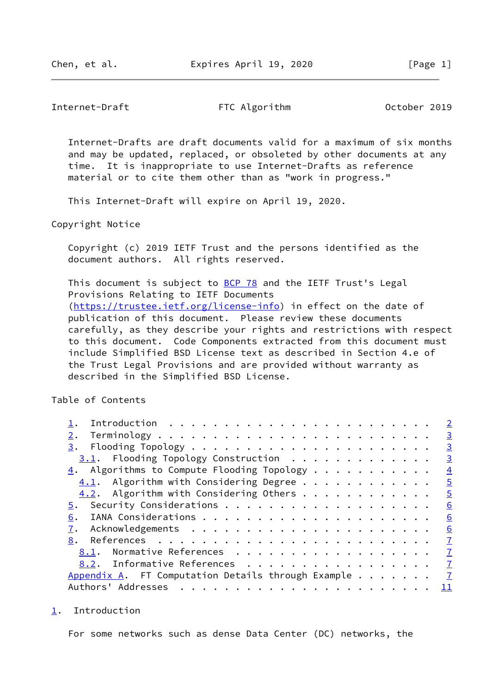<span id="page-1-1"></span>Internet-Draft FTC Algorithm October 2019

 Internet-Drafts are draft documents valid for a maximum of six months and may be updated, replaced, or obsoleted by other documents at any time. It is inappropriate to use Internet-Drafts as reference material or to cite them other than as "work in progress."

This Internet-Draft will expire on April 19, 2020.

Copyright Notice

 Copyright (c) 2019 IETF Trust and the persons identified as the document authors. All rights reserved.

This document is subject to [BCP 78](https://datatracker.ietf.org/doc/pdf/bcp78) and the IETF Trust's Legal Provisions Relating to IETF Documents [\(https://trustee.ietf.org/license-info](https://trustee.ietf.org/license-info)) in effect on the date of publication of this document. Please review these documents carefully, as they describe your rights and restrictions with respect to this document. Code Components extracted from this document must include Simplified BSD License text as described in Section 4.e of the Trust Legal Provisions and are provided without warranty as described in the Simplified BSD License.

Table of Contents

|                                                            | $\overline{2}$ |
|------------------------------------------------------------|----------------|
|                                                            | $\overline{3}$ |
| 3.                                                         | $\overline{3}$ |
| $3.1$ . Flooding Topology Construction                     | $\overline{3}$ |
| $\underline{4}$ . Algorithms to Compute Flooding Topology  | $\overline{4}$ |
| $4.1$ . Algorithm with Considering Degree                  | $\overline{5}$ |
| 4.2. Algorithm with Considering Others                     | $\overline{5}$ |
|                                                            | 6              |
| 6.                                                         | 6              |
|                                                            | 6              |
| 8.                                                         | $\mathbf{Z}$   |
| 8.1. Normative References                                  | $\mathbf{Z}$   |
| 8.2. Informative References                                | $\mathbf I$    |
| Appendix A. FT Computation Details through Example $\dots$ | $\overline{7}$ |
| Authors' Addresses                                         | 11             |
|                                                            |                |

<span id="page-1-0"></span>[1](#page-1-0). Introduction

For some networks such as dense Data Center (DC) networks, the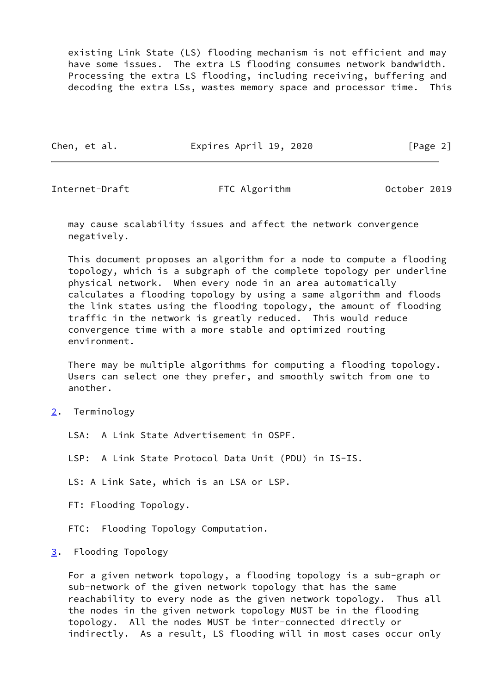existing Link State (LS) flooding mechanism is not efficient and may have some issues. The extra LS flooding consumes network bandwidth. Processing the extra LS flooding, including receiving, buffering and decoding the extra LSs, wastes memory space and processor time. This

Chen, et al. **Expires April 19, 2020** [Page 2]

<span id="page-2-1"></span>Internet-Draft FTC Algorithm Cotober 2019

 may cause scalability issues and affect the network convergence negatively.

 This document proposes an algorithm for a node to compute a flooding topology, which is a subgraph of the complete topology per underline physical network. When every node in an area automatically calculates a flooding topology by using a same algorithm and floods the link states using the flooding topology, the amount of flooding traffic in the network is greatly reduced. This would reduce convergence time with a more stable and optimized routing environment.

 There may be multiple algorithms for computing a flooding topology. Users can select one they prefer, and smoothly switch from one to another.

<span id="page-2-0"></span>[2](#page-2-0). Terminology

LSA: A Link State Advertisement in OSPF.

LSP: A Link State Protocol Data Unit (PDU) in IS-IS.

LS: A Link Sate, which is an LSA or LSP.

FT: Flooding Topology.

FTC: Flooding Topology Computation.

### <span id="page-2-2"></span>[3](#page-2-2). Flooding Topology

 For a given network topology, a flooding topology is a sub-graph or sub-network of the given network topology that has the same reachability to every node as the given network topology. Thus all the nodes in the given network topology MUST be in the flooding topology. All the nodes MUST be inter-connected directly or indirectly. As a result, LS flooding will in most cases occur only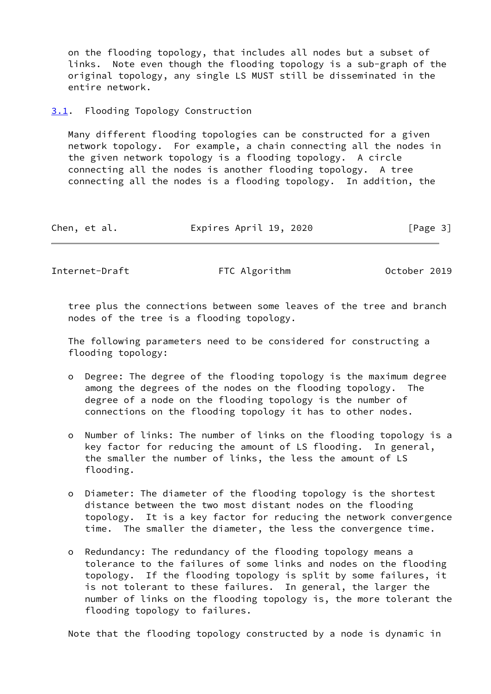on the flooding topology, that includes all nodes but a subset of links. Note even though the flooding topology is a sub-graph of the original topology, any single LS MUST still be disseminated in the entire network.

#### <span id="page-3-0"></span>[3.1](#page-3-0). Flooding Topology Construction

 Many different flooding topologies can be constructed for a given network topology. For example, a chain connecting all the nodes in the given network topology is a flooding topology. A circle connecting all the nodes is another flooding topology. A tree connecting all the nodes is a flooding topology. In addition, the

| Chen, et al. | Expires April 19, 2020 | [Page 3] |
|--------------|------------------------|----------|
|--------------|------------------------|----------|

<span id="page-3-1"></span>Internet-Draft FTC Algorithm October 2019

 tree plus the connections between some leaves of the tree and branch nodes of the tree is a flooding topology.

 The following parameters need to be considered for constructing a flooding topology:

- o Degree: The degree of the flooding topology is the maximum degree among the degrees of the nodes on the flooding topology. The degree of a node on the flooding topology is the number of connections on the flooding topology it has to other nodes.
- o Number of links: The number of links on the flooding topology is a key factor for reducing the amount of LS flooding. In general, the smaller the number of links, the less the amount of LS flooding.
- o Diameter: The diameter of the flooding topology is the shortest distance between the two most distant nodes on the flooding topology. It is a key factor for reducing the network convergence time. The smaller the diameter, the less the convergence time.
- o Redundancy: The redundancy of the flooding topology means a tolerance to the failures of some links and nodes on the flooding topology. If the flooding topology is split by some failures, it is not tolerant to these failures. In general, the larger the number of links on the flooding topology is, the more tolerant the flooding topology to failures.

Note that the flooding topology constructed by a node is dynamic in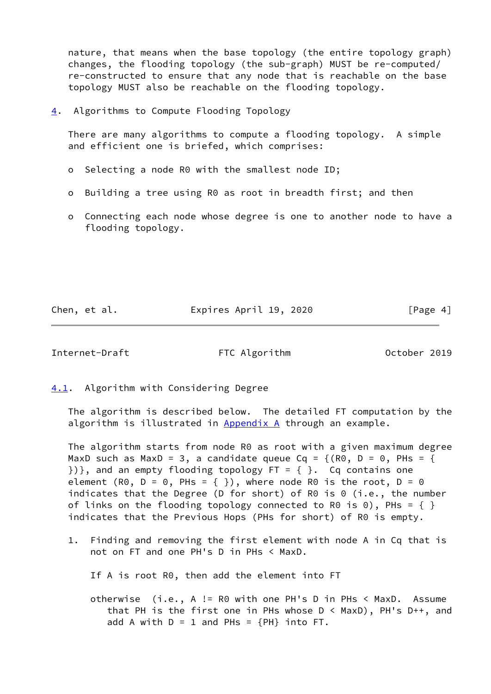nature, that means when the base topology (the entire topology graph) changes, the flooding topology (the sub-graph) MUST be re-computed/ re-constructed to ensure that any node that is reachable on the base topology MUST also be reachable on the flooding topology.

<span id="page-4-0"></span>[4](#page-4-0). Algorithms to Compute Flooding Topology

 There are many algorithms to compute a flooding topology. A simple and efficient one is briefed, which comprises:

- o Selecting a node R0 with the smallest node ID;
- o Building a tree using R0 as root in breadth first; and then
- o Connecting each node whose degree is one to another node to have a flooding topology.

Chen, et al. **Expires April 19, 2020** [Page 4]

<span id="page-4-2"></span>Internet-Draft FTC Algorithm October 2019

<span id="page-4-1"></span>[4.1](#page-4-1). Algorithm with Considering Degree

 The algorithm is described below. The detailed FT computation by the algorithm is illustrated in [Appendix A](#page-7-1) through an example.

 The algorithm starts from node R0 as root with a given maximum degree MaxD such as MaxD = 3, a candidate queue Cq =  $\{(R0, D = 0, P$ Hs =  $\{$  ${}_{3}$ ) }, and an empty flooding topology FT = { }. Cq contains one element (R0,  $D = 0$ , PHs = { }), where node R0 is the root,  $D = 0$ indicates that the Degree (D for short) of R0 is 0 (i.e., the number of links on the flooding topology connected to R0 is 0), PHs =  $\{ \}$ indicates that the Previous Hops (PHs for short) of R0 is empty.

 1. Finding and removing the first element with node A in Cq that is not on FT and one PH's D in PHs < MaxD.

If A is root R0, then add the element into FT

 otherwise (i.e., A != R0 with one PH's D in PHs < MaxD. Assume that PH is the first one in PHs whose D < MaxD), PH's D++, and add A with  $D = 1$  and PHs =  ${PH}$  into FT.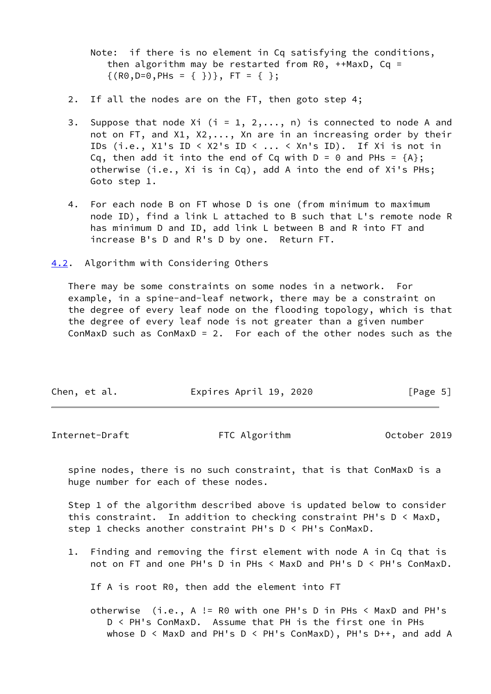Note: if there is no element in Cq satisfying the conditions, then algorithm may be restarted from  $R0$ , ++MaxD, Cq =  $\{(R0, D=0, PHs = \{\})\}, \quad FT = \{\}\};$ 

- 2. If all the nodes are on the FT, then goto step 4;
- 3. Suppose that node Xi (i = 1, 2, ..., n) is connected to node A and not on FT, and X1, X2,..., Xn are in an increasing order by their IDs (i.e.,  $X1's ID < X2's ID < ... < Xn's ID$ ). If Xi is not in Cq, then add it into the end of Cq with  $D = 0$  and PHs =  ${A}$ ; otherwise (i.e., Xi is in Cq), add A into the end of Xi's PHs; Goto step 1.
- 4. For each node B on FT whose D is one (from minimum to maximum node ID), find a link L attached to B such that L's remote node R has minimum D and ID, add link L between B and R into FT and increase B's D and R's D by one. Return FT.

<span id="page-5-0"></span>[4.2](#page-5-0). Algorithm with Considering Others

 There may be some constraints on some nodes in a network. For example, in a spine-and-leaf network, there may be a constraint on the degree of every leaf node on the flooding topology, which is that the degree of every leaf node is not greater than a given number ConMaxD such as ConMaxD = 2. For each of the other nodes such as the

| Chen, et al. | Expires April 19, 2020 | [Page 5] |
|--------------|------------------------|----------|
|              |                        |          |

<span id="page-5-1"></span>

| Internet-Draft | FTC Algorithm | October 2019 |
|----------------|---------------|--------------|
|----------------|---------------|--------------|

 spine nodes, there is no such constraint, that is that ConMaxD is a huge number for each of these nodes.

 Step 1 of the algorithm described above is updated below to consider this constraint. In addition to checking constraint PH's D < MaxD, step 1 checks another constraint PH's D < PH's ConMaxD.

 1. Finding and removing the first element with node A in Cq that is not on FT and one PH's D in PHs < MaxD and PH's D < PH's ConMaxD.

If A is root R0, then add the element into FT

 otherwise (i.e., A != R0 with one PH's D in PHs < MaxD and PH's D < PH's ConMaxD. Assume that PH is the first one in PHs whose D < MaxD and PH's D < PH's ConMaxD), PH's D++, and add A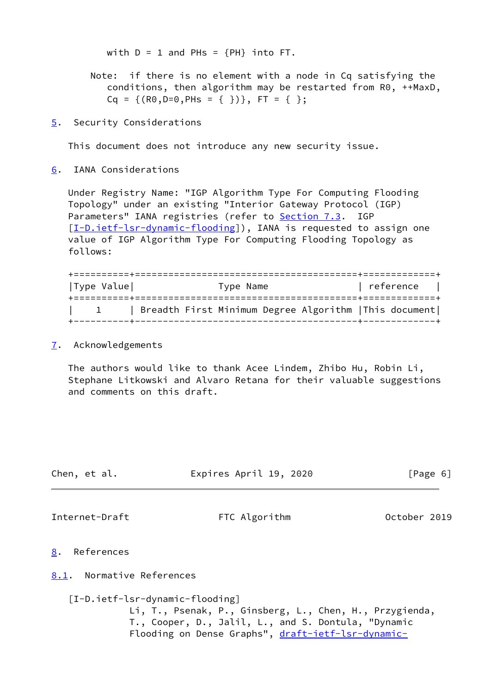with  $D = 1$  and PHs =  ${PH}$  into FT.

- Note: if there is no element with a node in Cq satisfying the conditions, then algorithm may be restarted from R0, ++MaxD,  $Cq = \{ (R0, D=0, P$ Hs =  $\{\})\}, FT = \{\}$
- <span id="page-6-0"></span>[5](#page-6-0). Security Considerations

This document does not introduce any new security issue.

<span id="page-6-1"></span>[6](#page-6-1). IANA Considerations

 Under Registry Name: "IGP Algorithm Type For Computing Flooding Topology" under an existing "Interior Gateway Protocol (IGP) Parameters" IANA registries (refer to Section 7.3. IGP [\[I-D.ietf-lsr-dynamic-flooding](#page-6-6)]), IANA is requested to assign one value of IGP Algorithm Type For Computing Flooding Topology as follows:

| Type Value | Type Name                                              | reference |  |
|------------|--------------------------------------------------------|-----------|--|
|            | Breadth First Minimum Degree Algorithm   This document |           |  |

#### <span id="page-6-2"></span>[7](#page-6-2). Acknowledgements

 The authors would like to thank Acee Lindem, Zhibo Hu, Robin Li, Stephane Litkowski and Alvaro Retana for their valuable suggestions and comments on this draft.

<span id="page-6-6"></span><span id="page-6-5"></span><span id="page-6-4"></span><span id="page-6-3"></span>

| Chen, et al.                    | Expires April 19, 2020                                                                                                                                               | [Page 6]     |
|---------------------------------|----------------------------------------------------------------------------------------------------------------------------------------------------------------------|--------------|
| Internet-Draft                  | FTC Algorithm                                                                                                                                                        | October 2019 |
| 8.<br>References                |                                                                                                                                                                      |              |
| Normative References<br>8.1.    |                                                                                                                                                                      |              |
| [I-D.ietf-lsr-dynamic-flooding] | Li, T., Psenak, P., Ginsberg, L., Chen, H., Przygienda,<br>T., Cooper, D., Jalil, L., and S. Dontula, "Dynamic<br>Flooding on Dense Graphs", draft-ietf-lsr-dynamic- |              |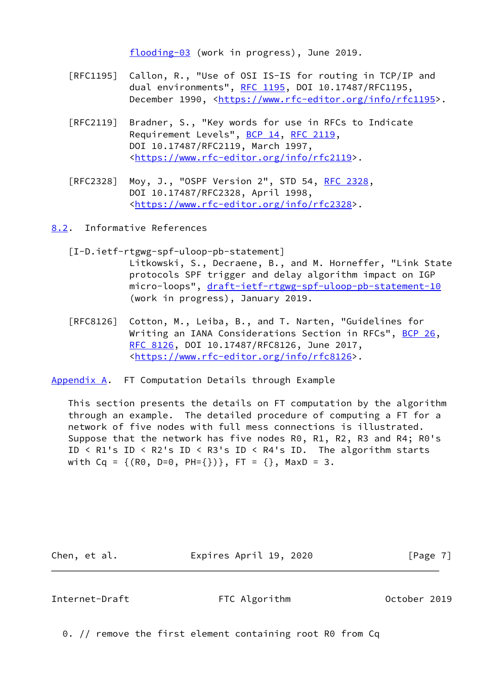[flooding-03](https://datatracker.ietf.org/doc/pdf/draft-ietf-lsr-dynamic-flooding-03) (work in progress), June 2019.

- [RFC1195] Callon, R., "Use of OSI IS-IS for routing in TCP/IP and dual environments", [RFC 1195,](https://datatracker.ietf.org/doc/pdf/rfc1195) DOI 10.17487/RFC1195, December 1990, <<https://www.rfc-editor.org/info/rfc1195>>.
- [RFC2119] Bradner, S., "Key words for use in RFCs to Indicate Requirement Levels", [BCP 14](https://datatracker.ietf.org/doc/pdf/bcp14), [RFC 2119](https://datatracker.ietf.org/doc/pdf/rfc2119), DOI 10.17487/RFC2119, March 1997, <[https://www.rfc-editor.org/info/rfc2119>](https://www.rfc-editor.org/info/rfc2119).
- [RFC2328] Moy, J., "OSPF Version 2", STD 54, [RFC 2328](https://datatracker.ietf.org/doc/pdf/rfc2328), DOI 10.17487/RFC2328, April 1998, <[https://www.rfc-editor.org/info/rfc2328>](https://www.rfc-editor.org/info/rfc2328).

<span id="page-7-0"></span>[8.2](#page-7-0). Informative References

- [I-D.ietf-rtgwg-spf-uloop-pb-statement] Litkowski, S., Decraene, B., and M. Horneffer, "Link State protocols SPF trigger and delay algorithm impact on IGP micro-loops", [draft-ietf-rtgwg-spf-uloop-pb-statement-10](https://datatracker.ietf.org/doc/pdf/draft-ietf-rtgwg-spf-uloop-pb-statement-10) (work in progress), January 2019.
- [RFC8126] Cotton, M., Leiba, B., and T. Narten, "Guidelines for Writing an IANA Considerations Section in RFCs", [BCP 26](https://datatracker.ietf.org/doc/pdf/bcp26), [RFC 8126,](https://datatracker.ietf.org/doc/pdf/rfc8126) DOI 10.17487/RFC8126, June 2017, <[https://www.rfc-editor.org/info/rfc8126>](https://www.rfc-editor.org/info/rfc8126).

<span id="page-7-1"></span>[Appendix A.](#page-7-1) FT Computation Details through Example

 This section presents the details on FT computation by the algorithm through an example. The detailed procedure of computing a FT for a network of five nodes with full mess connections is illustrated. Suppose that the network has five nodes R0, R1, R2, R3 and R4; R0's ID < R1's ID < R2's ID < R3's ID < R4's ID. The algorithm starts with Cq =  $\{(R0, D=0, PH=\{\})\}$ , FT =  $\{\}$ , MaxD = 3.

Chen, et al. **Expires April 19, 2020** [Page 7]

Internet-Draft FTC Algorithm October 2019

0. // remove the first element containing root R0 from Cq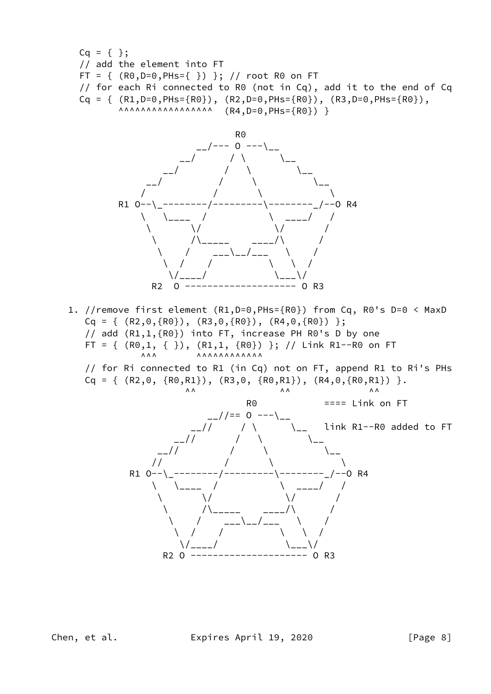Cq = { }; // add the element into FT FT = { (R0,D=0,PHs={ }) }; // root R0 on FT // for each Ri connected to R0 (not in Cq), add it to the end of Cq Cq = { (R1,D=0,PHs={R0}), (R2,D=0,PHs={R0}), (R3,D=0,PHs={R0}), ^^^^^^^^^^^^^^^^^ (R4,D=0,PHs={R0}) }



 1. //remove first element (R1,D=0,PHs={R0}) from Cq, R0's D=0 < MaxD  $Cq = \{ (R2,0,\{R0\}), (R3,0,\{R0\}), (R4,0,\{R0\}) \};$  // add (R1,1,{R0}) into FT, increase PH R0's D by one FT = {  $(R0,1, { }$ }),  $(R1,1, { }R0)$ } }; // Link R1--R0 on FT ^^^ ^^^^^^^^^^^^

 // for Ri connected to R1 (in Cq) not on FT, append R1 to Ri's PHs  $Cq = \{ (R2,0, \{R0,R1\}), (R3,0, \{R0,R1\}), (R4,0, \{R0,R1\}) \}.$ 



Chen, et al. **Expires April 19, 2020** [Page 8]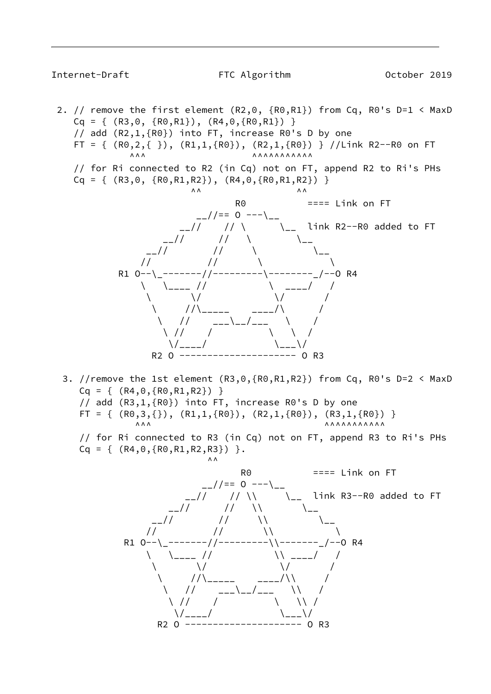## Internet-Draft FTC Algorithm October 2019

2. // remove the first element  $(R2,0, \{R0,R1\})$  from Cq, R0's D=1 < MaxD  $Cq = \{ (R3, 0, \{R0, R1\}), (R4, 0, \{R0, R1\}) \}$  // add (R2,1,{R0}) into FT, increase R0's D by one FT = {  $(R0,2,\{\})$ ,  $(R1,1,\{R0\})$ ,  $(R2,1,\{R0\})$  } //Link R2--R0 on FT ^^^ ^^^^^^^^^^^ // for Ri connected to R2 (in Cq) not on FT, append R2 to Ri's PHs  $Cq = \{ (R3,0, \{R0,R1,R2\}), (R4,0,\{R0,R1,R2\}) \}$  $\begin{array}{ccc}\n\wedge & \wedge & \wedge & \wedge\n\end{array}$  $R<sup>0</sup>$  ==== Link on FT  $2//== 0$  ---\ link R2--R0 added to FT  $\frac{1}{2}$  //  $\frac{1}{2}$  //  $\frac{1}{2}$  $\_$ //  $\qquad$  //  $\qquad$   $\qquad$   $\qquad$   $\qquad$   $\qquad$  $\frac{1}{2}$  //  $\frac{1}{2}$  //  $\frac{1}{2}$  //  $\frac{1}{2}$ 

R1 O--\\_-------//---------\--------\_/--0 R4  $\qquad \qquad \backslash \qquad \qquad \backslash \qquad \qquad \backslash \qquad \qquad \backslash \qquad \qquad \backslash \qquad \qquad \backslash \qquad \qquad \backslash \qquad \qquad \backslash$  $\setminus$   $\setminus$  /  $\setminus$  /  $\setminus$  /

 $\setminus$  // $\setminus$  \_\_\_\_\_ \_\_\_/ $\setminus$  /  $\setminus$  //  $\_\_-\setminus\_\_$  $\setminus$  // /  $\setminus$  /  $\setminus$  $\setminus$  /\_\_\_\_/  $\setminus$   $\setminus$   $\setminus$   $\setminus$   $\setminus$  /\_\_\_  $\setminus$  / R2 O --------------------- O R3 3. //remove the 1st element (R3,0,{R0,R1,R2}) from Cq, R0's D=2 < MaxD  $Cq = \{ (R4, 0, {R0, R1, R2}) \}$  // add (R3,1,{R0}) into FT, increase R0's D by one FT = {  $(R0,3,\{\})$ ,  $(R1,1,\{R0\})$ ,  $(R2,1,\{R0\})$ ,  $(R3,1,\{R0\})$  } ^^^ ^^^^^^^^^^^

 // for Ri connected to R3 (in Cq) not on FT, append R3 to Ri's PHs  $Cq = \{ (R4, 0, \{R0, R1, R2, R3\}) \}.$ 

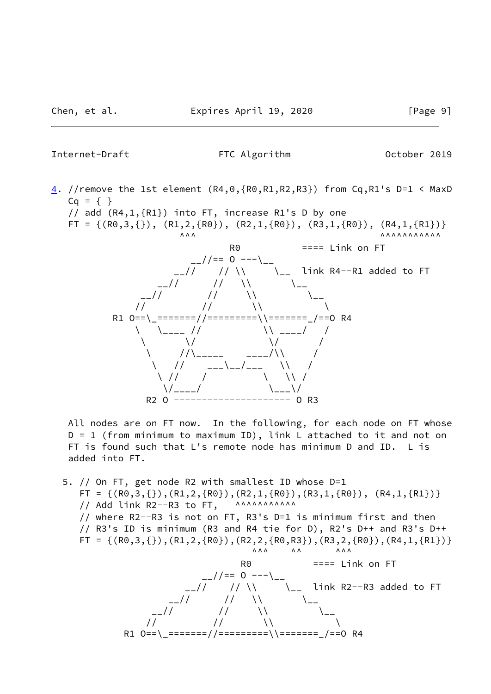Internet-Draft FTC Algorithm October 2019

[4](#page-4-0). //remove the 1st element  $(R4,0,\{R0,R1,R2,R3\})$  from Cq,R1's D=1 < MaxD  $Cq = \{ \}$ 

// add (R4,1,{R1}) into FT, increase R1's D by one

FT = {(R0,3,{}), (R1,2,{R0}), (R2,1,{R0}), (R3,1,{R0}), (R4,1,{R1})}

 $\begin{array}{ccccc}\n\wedge\wedge\wedge&\wedge&\wedge\\ \wedge&\wedge&\wedge\end{array}$  R0 ==== Link on FT  $\frac{1}{2}$  //== 0 --- $\frac{1}{2}$ \_\_// // \\ \\_\_ link R4--R1 added to FT  $\frac{1}{2}$  //  $\frac{1}{2}$  //  $\frac{1}{2}$  //  $\frac{1}{2}$  $\frac{1}{2}$  //  $\frac{1}{2}$  //  $\frac{1}{2}$  $\frac{1}{2}$  //  $\frac{1}{2}$  //  $\frac{1}{2}$  R1 O==\\_=======//=========\\=======\_/==O R4  $\setminus$   $\setminus$   $\setminus$   $\setminus$   $\setminus$   $\setminus$   $\setminus$   $\setminus$   $\setminus$   $\setminus$   $\setminus$   $\setminus$   $\setminus$   $\setminus$   $\setminus$   $\setminus$  $\setminus$   $\setminus$  /  $\setminus$  /  $\setminus$  /  $\setminus$  // $\setminus$  \_\_\_\_\_ \_\_\_/ $\setminus$  /  $\setminus$  //  $_{---}\setminus_{---}/_{---}$   $\setminus$  /  $\setminus$  // /  $\setminus$  //  $\setminus$  $\setminus$ /\_\_\_\_/  $\setminus$ R2 O --------------------- O R3

 All nodes are on FT now. In the following, for each node on FT whose D = 1 (from minimum to maximum ID), link L attached to it and not on FT is found such that L's remote node has minimum D and ID. L is added into FT.

 5. // On FT, get node R2 with smallest ID whose D=1  $FT = \{ (R0,3,\{\})$ , $(R1,2,\{R0\})$ , $(R2,1,\{R0\})$ , $(R3,1,\{R0\})$ , $(R4,1,\{R1\})$ // Add link  $R2--R3$  to  $FT$ , ^^^^^^^^^^^^^^ // where R2--R3 is not on FT, R3's D=1 is minimum first and then // R3's ID is minimum (R3 and R4 tie for D), R2's D++ and R3's D++  $FT = \{ (R0,3,\{\})$ , $(R1,2,\{R0\})$ , $(R2,2,\{R0,R3\})$ , $(R3,2,\{R0\})$ , $(R4,1,\{R1\})$  ^^^ ^^ ^^^ R0 ==== Link on FT  $\frac{1}{2}$  //== 0 --- $\backslash$  $_{--}//$   $_{-}//$   $_{\wedge}$   $_{\wedge}$  link R2--R3 added to FT  $\frac{1}{2}$  //  $\frac{1}{2}$  //  $\frac{1}{2}$  //  $\frac{1}{2}$  $\frac{1}{2}$  //  $\frac{1}{2}$  //  $\frac{1}{2}$  //  $\frac{1}{2}$  $\frac{1}{2}$  //  $\frac{1}{2}$  //  $\frac{1}{2}$  //

R1 O==\ =======//=========\\======== /==0 R4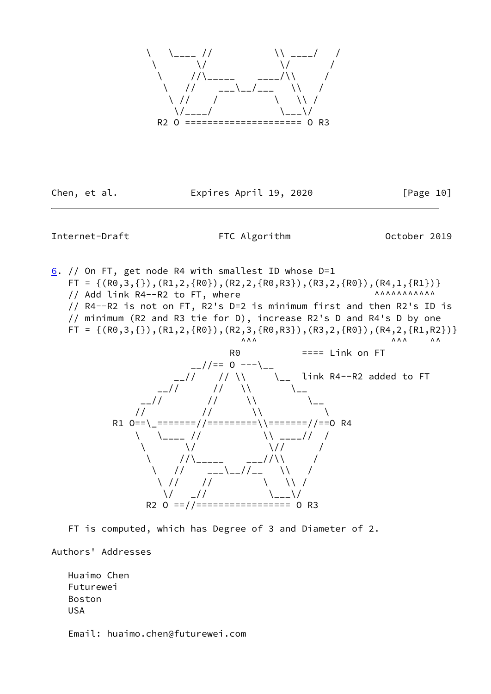

Chen, et al. **Expires April 19, 2020** [Page 10]

## <span id="page-11-0"></span>Internet-Draft FTC Algorithm Cotober 2019

 $6.$  $6.$  // On FT, get node R4 with smallest ID whose D=1  $FT = \{(R0,3,\{\})$ , $(R1,2,\{R0\})$ , $(R2,2,\{R0,R3\})$ , $(R3,2,\{R0\})$ , $(R4,1,\{R1\})$ // Add link R4--R2 to FT, where  $\overline{a}$  and  $\overline{a}$  and  $\overline{a}$  // R4--R2 is not on FT, R2's D=2 is minimum first and then R2's ID is // minimum (R2 and R3 tie for D), increase R2's D and R4's D by one  $FT = \{(R0,3,\{\})$ , $(R1,2,\{R0\})$ , $(R2,3,\{R0,R3\})$ , $(R3,2,\{R0\})$ , $(R4,2,\{R1,R2\})$  ^^^ ^^^ ^^ R0 ==== Link on FT  $\frac{1}{2}$  //== 0 --- $\frac{1}{2}$ \_\_// // \\ \\_\_ link R4--R2 added to FT  $\frac{1}{2}$  //  $\frac{1}{2}$  //  $\frac{1}{2}$  //  $\frac{1}{2}$  $\frac{1}{2}$  //  $\frac{1}{2}$  //  $\frac{1}{2}$  $\frac{1}{2}$  //  $\frac{1}{2}$  //  $\frac{1}{2}$  R1 O==\\_=======//=========\\=======//==O R4  $\setminus$   $\setminus$   $\setminus$   $\setminus$   $\setminus$   $\setminus$   $\setminus$   $\setminus$   $\setminus$   $\setminus$   $\setminus$   $\setminus$   $\setminus$   $\setminus$   $\setminus$   $\setminus$   $\setminus$  $\setminus$   $\setminus$  //  $\setminus$  //  $\setminus$  /  $\setminus$  // $\setminus$  \_\_\_\_\_ \_\_\_// $\setminus$  /  $\setminus$  //  $_{---}\setminus_{---}//_{---}$  \\ /  $\setminus$  //  $\setminus$  //  $\setminus$   $\setminus$  //  $\setminus$  /  $\_$  //  $\setminus$   $\setminus$   $\_$   $\setminus$  /  $\_$   $\setminus$ R2 O ==//================= O R3

FT is computed, which has Degree of 3 and Diameter of 2.

Authors' Addresses

 Huaimo Chen Futurewei Boston USA

Email: huaimo.chen@futurewei.com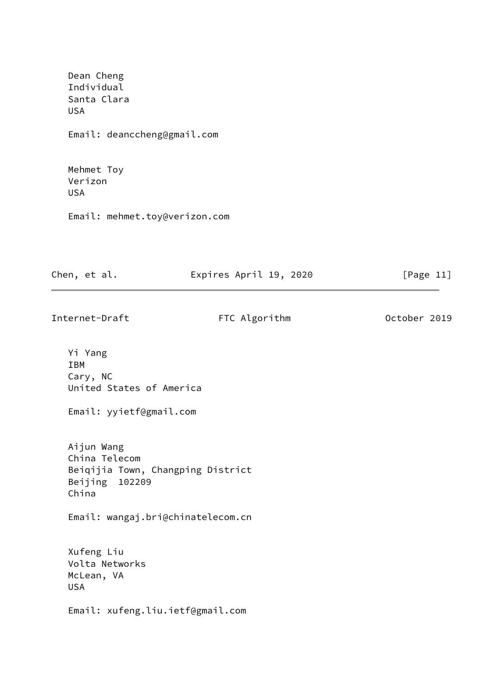| Dean Cheng<br>Individual<br>Santa Clara<br><b>USA</b>                                          |              |
|------------------------------------------------------------------------------------------------|--------------|
| Email: deanccheng@gmail.com                                                                    |              |
| Mehmet Toy<br>Verizon<br><b>USA</b>                                                            |              |
| Email: mehmet.toy@verizon.com                                                                  |              |
| Chen, et al.<br>Expires April 19, 2020                                                         | [Page $11$ ] |
| Internet-Draft<br>FTC Algorithm                                                                | October 2019 |
| Yi Yang<br>IBM<br>Cary, NC<br>United States of America<br>Email: yyietf@gmail.com              |              |
| Aijun Wang<br>China Telecom<br>Beiqijia Town, Changping District<br>Beijing<br>102209<br>China |              |
| Email: wangaj.bri@chinatelecom.cn                                                              |              |

 Xufeng Liu Volta Networks McLean, VA USA

Email: xufeng.liu.ietf@gmail.com